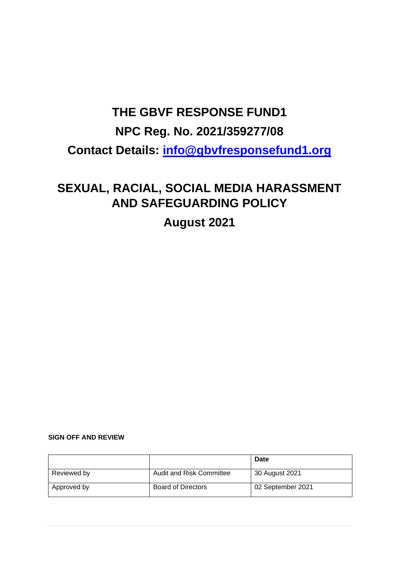# **THE GBVF RESPONSE FUND1 NPC Reg. No. 2021/359277/08 Contact Details: [info@gbvfresponsefund1.org](mailto:info@gbvfresponsefund1.org)**

## **SEXUAL, RACIAL, SOCIAL MEDIA HARASSMENT AND SAFEGUARDING POLICY**

**August 2021**

#### **SIGN OFF AND REVIEW**

|             |                           | Date              |
|-------------|---------------------------|-------------------|
| Reviewed by | Audit and Risk Committee  | 30 August 2021    |
| Approved by | <b>Board of Directors</b> | 02 September 2021 |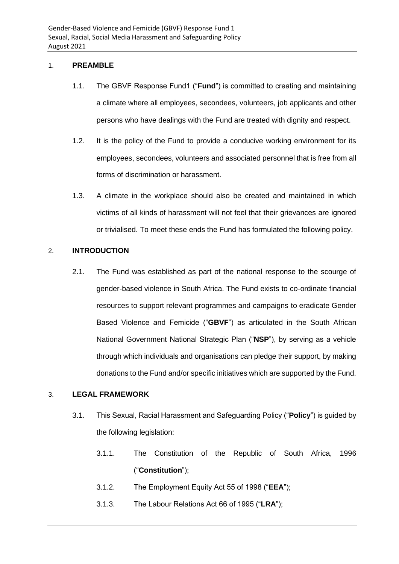#### 1. **PREAMBLE**

- 1.1. The GBVF Response Fund1 ("**Fund**") is committed to creating and maintaining a climate where all employees, secondees, volunteers, job applicants and other persons who have dealings with the Fund are treated with dignity and respect.
- 1.2. It is the policy of the Fund to provide a conducive working environment for its employees, secondees, volunteers and associated personnel that is free from all forms of discrimination or harassment.
- 1.3. A climate in the workplace should also be created and maintained in which victims of all kinds of harassment will not feel that their grievances are ignored or trivialised. To meet these ends the Fund has formulated the following policy.

#### 2. **INTRODUCTION**

2.1. The Fund was established as part of the national response to the scourge of gender-based violence in South Africa. The Fund exists to co-ordinate financial resources to support relevant programmes and campaigns to eradicate Gender Based Violence and Femicide ("**GBVF**") as articulated in the South African National Government National Strategic Plan ("**NSP**"), by serving as a vehicle through which individuals and organisations can pledge their support, by making donations to the Fund and/or specific initiatives which are supported by the Fund.

#### 3. **LEGAL FRAMEWORK**

- 3.1. This Sexual, Racial Harassment and Safeguarding Policy ("**Policy**") is guided by the following legislation:
	- 3.1.1. The Constitution of the Republic of South Africa, 1996 ("**Constitution**");
	- 3.1.2. The Employment Equity Act 55 of 1998 ("**EEA**");
	- 3.1.3. The Labour Relations Act 66 of 1995 ("**LRA**");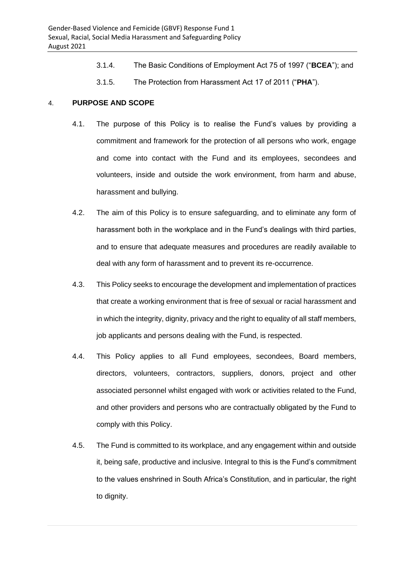- 3.1.4. The Basic Conditions of Employment Act 75 of 1997 ("**BCEA**"); and
- 3.1.5. The Protection from Harassment Act 17 of 2011 ("**PHA**").

#### 4. **PURPOSE AND SCOPE**

- 4.1. The purpose of this Policy is to realise the Fund's values by providing a commitment and framework for the protection of all persons who work, engage and come into contact with the Fund and its employees, secondees and volunteers, inside and outside the work environment, from harm and abuse, harassment and bullying.
- 4.2. The aim of this Policy is to ensure safeguarding, and to eliminate any form of harassment both in the workplace and in the Fund's dealings with third parties, and to ensure that adequate measures and procedures are readily available to deal with any form of harassment and to prevent its re-occurrence.
- 4.3. This Policy seeks to encourage the development and implementation of practices that create a working environment that is free of sexual or racial harassment and in which the integrity, dignity, privacy and the right to equality of all staff members, job applicants and persons dealing with the Fund, is respected.
- 4.4. This Policy applies to all Fund employees, secondees, Board members, directors, volunteers, contractors, suppliers, donors, project and other associated personnel whilst engaged with work or activities related to the Fund, and other providers and persons who are contractually obligated by the Fund to comply with this Policy.
- 4.5. The Fund is committed to its workplace, and any engagement within and outside it, being safe, productive and inclusive. Integral to this is the Fund's commitment to the values enshrined in South Africa's Constitution, and in particular, the right to dignity.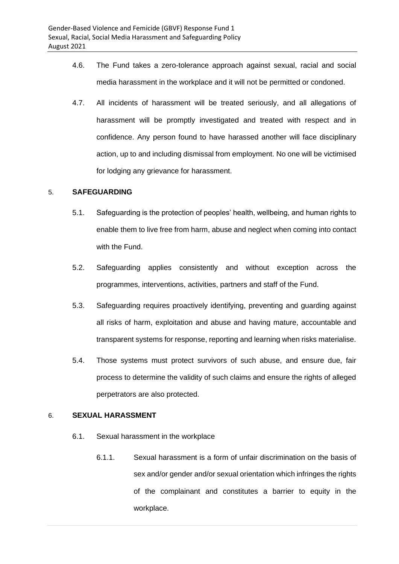- 4.6. The Fund takes a zero-tolerance approach against sexual, racial and social media harassment in the workplace and it will not be permitted or condoned.
- 4.7. All incidents of harassment will be treated seriously, and all allegations of harassment will be promptly investigated and treated with respect and in confidence. Any person found to have harassed another will face disciplinary action, up to and including dismissal from employment. No one will be victimised for lodging any grievance for harassment.

#### 5. **SAFEGUARDING**

- 5.1. Safeguarding is the protection of peoples' health, wellbeing, and human rights to enable them to live free from harm, abuse and neglect when coming into contact with the Fund.
- 5.2. Safeguarding applies consistently and without exception across the programmes, interventions, activities, partners and staff of the Fund.
- 5.3. Safeguarding requires proactively identifying, preventing and guarding against all risks of harm, exploitation and abuse and having mature, accountable and transparent systems for response, reporting and learning when risks materialise.
- 5.4. Those systems must protect survivors of such abuse, and ensure due, fair process to determine the validity of such claims and ensure the rights of alleged perpetrators are also protected.

#### 6. **SEXUAL HARASSMENT**

- 6.1. Sexual harassment in the workplace
	- 6.1.1. Sexual harassment is a form of unfair discrimination on the basis of sex and/or gender and/or sexual orientation which infringes the rights of the complainant and constitutes a barrier to equity in the workplace.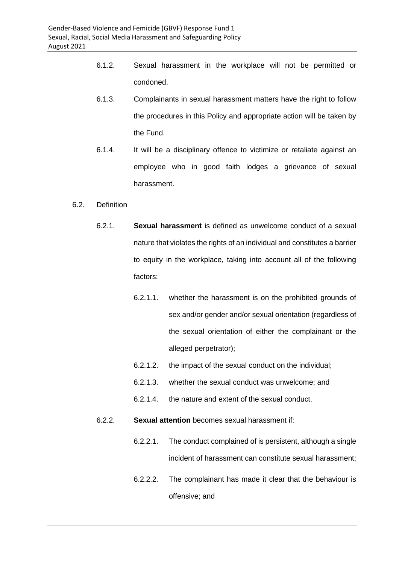- 6.1.2. Sexual harassment in the workplace will not be permitted or condoned.
- 6.1.3. Complainants in sexual harassment matters have the right to follow the procedures in this Policy and appropriate action will be taken by the Fund.
- 6.1.4. It will be a disciplinary offence to victimize or retaliate against an employee who in good faith lodges a grievance of sexual harassment.

#### 6.2. Definition

- 6.2.1. **Sexual harassment** is defined as unwelcome conduct of a sexual nature that violates the rights of an individual and constitutes a barrier to equity in the workplace, taking into account all of the following factors:
	- 6.2.1.1. whether the harassment is on the prohibited grounds of sex and/or gender and/or sexual orientation (regardless of the sexual orientation of either the complainant or the alleged perpetrator);
	- 6.2.1.2. the impact of the sexual conduct on the individual;
	- 6.2.1.3. whether the sexual conduct was unwelcome; and
	- 6.2.1.4. the nature and extent of the sexual conduct.

#### 6.2.2. **Sexual attention** becomes sexual harassment if:

- 6.2.2.1. The conduct complained of is persistent, although a single incident of harassment can constitute sexual harassment;
- 6.2.2.2. The complainant has made it clear that the behaviour is offensive; and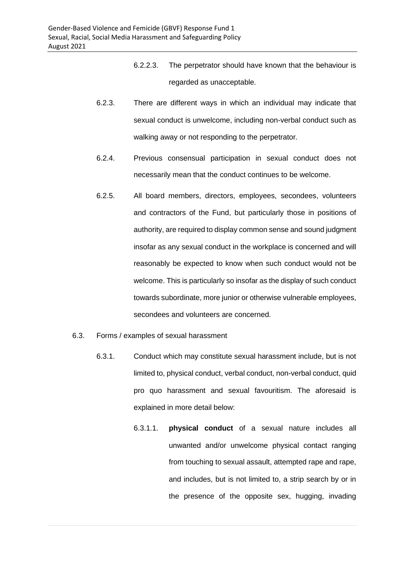- 6.2.2.3. The perpetrator should have known that the behaviour is regarded as unacceptable.
- 6.2.3. There are different ways in which an individual may indicate that sexual conduct is unwelcome, including non-verbal conduct such as walking away or not responding to the perpetrator.
- 6.2.4. Previous consensual participation in sexual conduct does not necessarily mean that the conduct continues to be welcome.
- 6.2.5. All board members, directors, employees, secondees, volunteers and contractors of the Fund, but particularly those in positions of authority, are required to display common sense and sound judgment insofar as any sexual conduct in the workplace is concerned and will reasonably be expected to know when such conduct would not be welcome. This is particularly so insofar as the display of such conduct towards subordinate, more junior or otherwise vulnerable employees, secondees and volunteers are concerned.
- 6.3. Forms / examples of sexual harassment
	- 6.3.1. Conduct which may constitute sexual harassment include, but is not limited to, physical conduct, verbal conduct, non-verbal conduct, quid pro quo harassment and sexual favouritism. The aforesaid is explained in more detail below:
		- 6.3.1.1. **physical conduct** of a sexual nature includes all unwanted and/or unwelcome physical contact ranging from touching to sexual assault, attempted rape and rape, and includes, but is not limited to, a strip search by or in the presence of the opposite sex, hugging, invading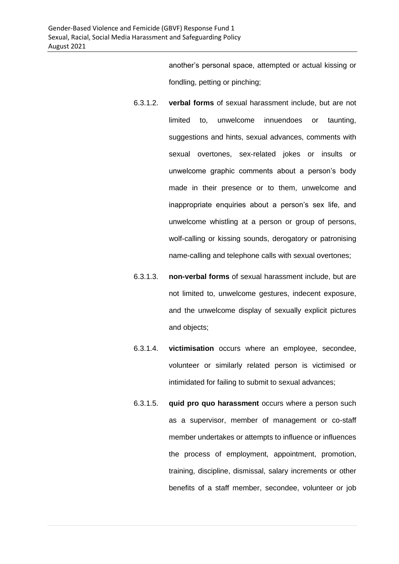another's personal space, attempted or actual kissing or fondling, petting or pinching;

- 6.3.1.2. **verbal forms** of sexual harassment include, but are not limited to, unwelcome innuendoes or taunting, suggestions and hints, sexual advances, comments with sexual overtones, sex-related jokes or insults or unwelcome graphic comments about a person's body made in their presence or to them, unwelcome and inappropriate enquiries about a person's sex life, and unwelcome whistling at a person or group of persons, wolf-calling or kissing sounds, derogatory or patronising name-calling and telephone calls with sexual overtones;
- 6.3.1.3. **non-verbal forms** of sexual harassment include, but are not limited to, unwelcome gestures, indecent exposure, and the unwelcome display of sexually explicit pictures and objects;
- 6.3.1.4. **victimisation** occurs where an employee, secondee, volunteer or similarly related person is victimised or intimidated for failing to submit to sexual advances;
- 6.3.1.5. **quid pro quo harassment** occurs where a person such as a supervisor, member of management or co-staff member undertakes or attempts to influence or influences the process of employment, appointment, promotion, training, discipline, dismissal, salary increments or other benefits of a staff member, secondee, volunteer or job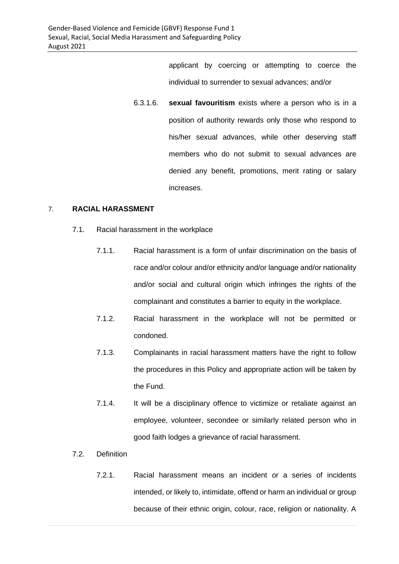applicant by coercing or attempting to coerce the individual to surrender to sexual advances; and/or

6.3.1.6. **sexual favouritism** exists where a person who is in a position of authority rewards only those who respond to his/her sexual advances, while other deserving staff members who do not submit to sexual advances are denied any benefit, promotions, merit rating or salary increases.

#### 7. **RACIAL HARASSMENT**

- 7.1. Racial harassment in the workplace
	- 7.1.1. Racial harassment is a form of unfair discrimination on the basis of race and/or colour and/or ethnicity and/or language and/or nationality and/or social and cultural origin which infringes the rights of the complainant and constitutes a barrier to equity in the workplace.
	- 7.1.2. Racial harassment in the workplace will not be permitted or condoned.
	- 7.1.3. Complainants in racial harassment matters have the right to follow the procedures in this Policy and appropriate action will be taken by the Fund.
	- 7.1.4. It will be a disciplinary offence to victimize or retaliate against an employee, volunteer, secondee or similarly related person who in good faith lodges a grievance of racial harassment.
- 7.2. Definition
	- 7.2.1. Racial harassment means an incident or a series of incidents intended, or likely to, intimidate, offend or harm an individual or group because of their ethnic origin, colour, race, religion or nationality. A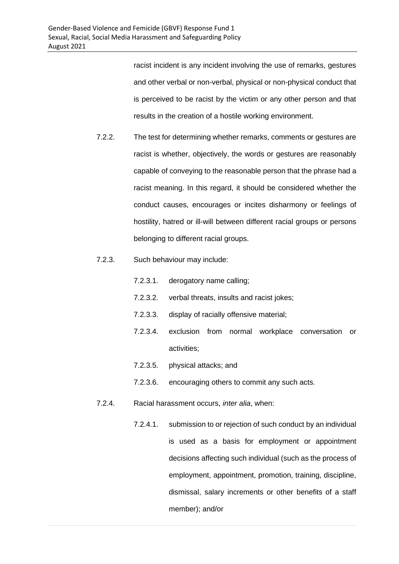racist incident is any incident involving the use of remarks, gestures and other verbal or non-verbal, physical or non-physical conduct that is perceived to be racist by the victim or any other person and that results in the creation of a hostile working environment.

- 7.2.2. The test for determining whether remarks, comments or gestures are racist is whether, objectively, the words or gestures are reasonably capable of conveying to the reasonable person that the phrase had a racist meaning. In this regard, it should be considered whether the conduct causes, encourages or incites disharmony or feelings of hostility, hatred or ill-will between different racial groups or persons belonging to different racial groups.
- 7.2.3. Such behaviour may include:
	- 7.2.3.1. derogatory name calling;
	- 7.2.3.2. verbal threats, insults and racist jokes;
	- 7.2.3.3. display of racially offensive material;
	- 7.2.3.4. exclusion from normal workplace conversation or activities;
	- 7.2.3.5. physical attacks; and
	- 7.2.3.6. encouraging others to commit any such acts.
- 7.2.4. Racial harassment occurs, *inter alia*, when:
	- 7.2.4.1. submission to or rejection of such conduct by an individual is used as a basis for employment or appointment decisions affecting such individual (such as the process of employment, appointment, promotion, training, discipline, dismissal, salary increments or other benefits of a staff member); and/or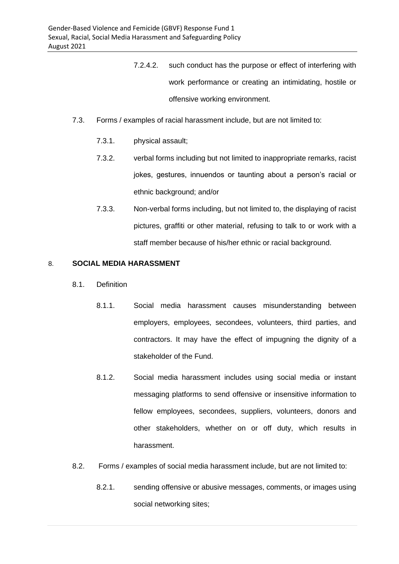- 7.2.4.2. such conduct has the purpose or effect of interfering with work performance or creating an intimidating, hostile or offensive working environment.
- 7.3. Forms / examples of racial harassment include, but are not limited to:
	- 7.3.1. physical assault;
	- 7.3.2. verbal forms including but not limited to inappropriate remarks, racist jokes, gestures, innuendos or taunting about a person's racial or ethnic background; and/or
	- 7.3.3. Non-verbal forms including, but not limited to, the displaying of racist pictures, graffiti or other material, refusing to talk to or work with a staff member because of his/her ethnic or racial background.

#### 8. **SOCIAL MEDIA HARASSMENT**

- 8.1. Definition
	- 8.1.1. Social media harassment causes misunderstanding between employers, employees, secondees, volunteers, third parties, and contractors. It may have the effect of impugning the dignity of a stakeholder of the Fund.
	- 8.1.2. Social media harassment includes using social media or instant messaging platforms to send offensive or insensitive information to fellow employees, secondees, suppliers, volunteers, donors and other stakeholders, whether on or off duty, which results in harassment.
- 8.2. Forms / examples of social media harassment include, but are not limited to:
	- 8.2.1. sending offensive or abusive messages, comments, or images using social networking sites;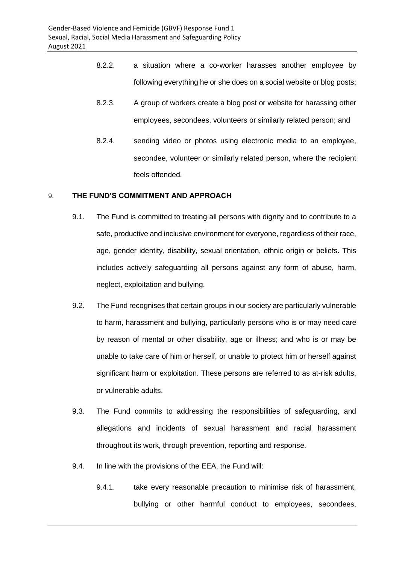- 8.2.2. a situation where a co-worker harasses another employee by following everything he or she does on a social website or blog posts;
- 8.2.3. A group of workers create a blog post or website for harassing other employees, secondees, volunteers or similarly related person; and
- 8.2.4. sending video or photos using electronic media to an employee, secondee, volunteer or similarly related person, where the recipient feels offended.

#### 9. **THE FUND'S COMMITMENT AND APPROACH**

- 9.1. The Fund is committed to treating all persons with dignity and to contribute to a safe, productive and inclusive environment for everyone, regardless of their race, age, gender identity, disability, sexual orientation, ethnic origin or beliefs. This includes actively safeguarding all persons against any form of abuse, harm, neglect, exploitation and bullying.
- 9.2. The Fund recognises that certain groups in our society are particularly vulnerable to harm, harassment and bullying, particularly persons who is or may need care by reason of mental or other disability, age or illness; and who is or may be unable to take care of him or herself, or unable to protect him or herself against significant harm or exploitation. These persons are referred to as at-risk adults, or vulnerable adults.
- 9.3. The Fund commits to addressing the responsibilities of safeguarding, and allegations and incidents of sexual harassment and racial harassment throughout its work, through prevention, reporting and response.
- 9.4. In line with the provisions of the EEA, the Fund will:
	- 9.4.1. take every reasonable precaution to minimise risk of harassment, bullying or other harmful conduct to employees, secondees,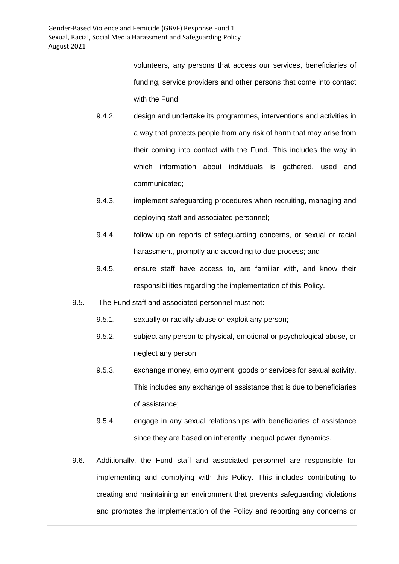volunteers, any persons that access our services, beneficiaries of funding, service providers and other persons that come into contact with the Fund;

- 9.4.2. design and undertake its programmes, interventions and activities in a way that protects people from any risk of harm that may arise from their coming into contact with the Fund. This includes the way in which information about individuals is gathered, used and communicated;
- 9.4.3. implement safeguarding procedures when recruiting, managing and deploying staff and associated personnel;
- 9.4.4. follow up on reports of safeguarding concerns, or sexual or racial harassment, promptly and according to due process; and
- 9.4.5. ensure staff have access to, are familiar with, and know their responsibilities regarding the implementation of this Policy.
- 9.5. The Fund staff and associated personnel must not:
	- 9.5.1. sexually or racially abuse or exploit any person;
	- 9.5.2. subject any person to physical, emotional or psychological abuse, or neglect any person;
	- 9.5.3. exchange money, employment, goods or services for sexual activity. This includes any exchange of assistance that is due to beneficiaries of assistance;
	- 9.5.4. engage in any sexual relationships with beneficiaries of assistance since they are based on inherently unequal power dynamics.
- 9.6. Additionally, the Fund staff and associated personnel are responsible for implementing and complying with this Policy. This includes contributing to creating and maintaining an environment that prevents safeguarding violations and promotes the implementation of the Policy and reporting any concerns or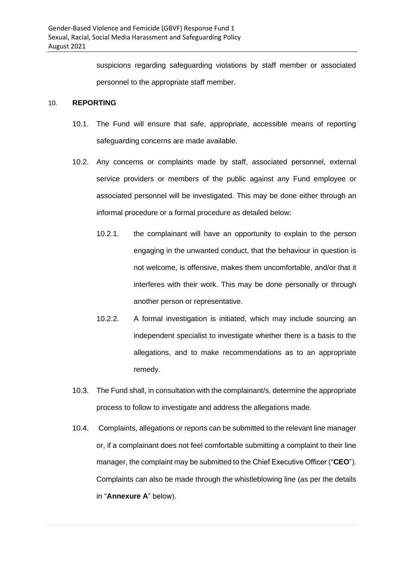suspicions regarding safeguarding violations by staff member or associated personnel to the appropriate staff member.

#### 10. **REPORTING**

- 10.1. The Fund will ensure that safe, appropriate, accessible means of reporting safeguarding concerns are made available.
- 10.2. Any concerns or complaints made by staff, associated personnel, external service providers or members of the public against any Fund employee or associated personnel will be investigated. This may be done either through an informal procedure or a formal procedure as detailed below:
	- 10.2.1. the complainant will have an opportunity to explain to the person engaging in the unwanted conduct, that the behaviour in question is not welcome, is offensive, makes them uncomfortable, and/or that it interferes with their work. This may be done personally or through another person or representative.
	- 10.2.2. A formal investigation is initiated, which may include sourcing an independent specialist to investigate whether there is a basis to the allegations, and to make recommendations as to an appropriate remedy.
- 10.3. The Fund shall, in consultation with the complainant/s, determine the appropriate process to follow to investigate and address the allegations made.
- 10.4. Complaints, allegations or reports can be submitted to the relevant line manager or, if a complainant does not feel comfortable submitting a complaint to their line manager, the complaint may be submitted to the Chief Executive Officer ("**CEO**"). Complaints can also be made through the whistleblowing line (as per the details in "**Annexure A**" below).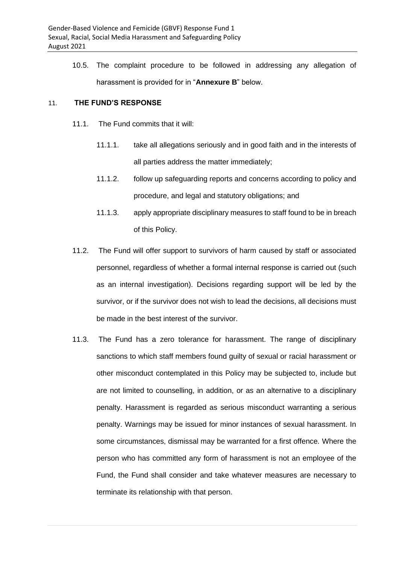10.5. The complaint procedure to be followed in addressing any allegation of harassment is provided for in "**Annexure B**" below.

#### 11. **THE FUND'S RESPONSE**

- 11.1. The Fund commits that it will:
	- 11.1.1. take all allegations seriously and in good faith and in the interests of all parties address the matter immediately;
	- 11.1.2. follow up safeguarding reports and concerns according to policy and procedure, and legal and statutory obligations; and
	- 11.1.3. apply appropriate disciplinary measures to staff found to be in breach of this Policy.
- 11.2. The Fund will offer support to survivors of harm caused by staff or associated personnel, regardless of whether a formal internal response is carried out (such as an internal investigation). Decisions regarding support will be led by the survivor, or if the survivor does not wish to lead the decisions, all decisions must be made in the best interest of the survivor.
- 11.3. The Fund has a zero tolerance for harassment. The range of disciplinary sanctions to which staff members found guilty of sexual or racial harassment or other misconduct contemplated in this Policy may be subjected to, include but are not limited to counselling, in addition, or as an alternative to a disciplinary penalty. Harassment is regarded as serious misconduct warranting a serious penalty. Warnings may be issued for minor instances of sexual harassment. In some circumstances, dismissal may be warranted for a first offence. Where the person who has committed any form of harassment is not an employee of the Fund, the Fund shall consider and take whatever measures are necessary to terminate its relationship with that person.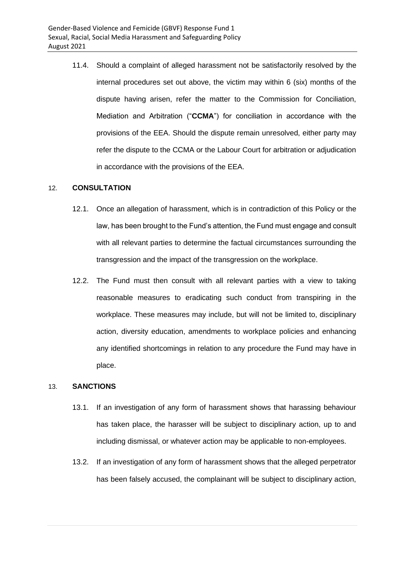11.4. Should a complaint of alleged harassment not be satisfactorily resolved by the internal procedures set out above, the victim may within 6 (six) months of the dispute having arisen, refer the matter to the Commission for Conciliation, Mediation and Arbitration ("**CCMA**") for conciliation in accordance with the provisions of the EEA. Should the dispute remain unresolved, either party may refer the dispute to the CCMA or the Labour Court for arbitration or adjudication in accordance with the provisions of the EEA.

#### 12. **CONSULTATION**

- 12.1. Once an allegation of harassment, which is in contradiction of this Policy or the law, has been brought to the Fund's attention, the Fund must engage and consult with all relevant parties to determine the factual circumstances surrounding the transgression and the impact of the transgression on the workplace.
- 12.2. The Fund must then consult with all relevant parties with a view to taking reasonable measures to eradicating such conduct from transpiring in the workplace. These measures may include, but will not be limited to, disciplinary action, diversity education, amendments to workplace policies and enhancing any identified shortcomings in relation to any procedure the Fund may have in place.

#### 13. **SANCTIONS**

- 13.1. If an investigation of any form of harassment shows that harassing behaviour has taken place, the harasser will be subject to disciplinary action, up to and including dismissal, or whatever action may be applicable to non-employees.
- 13.2. If an investigation of any form of harassment shows that the alleged perpetrator has been falsely accused, the complainant will be subject to disciplinary action,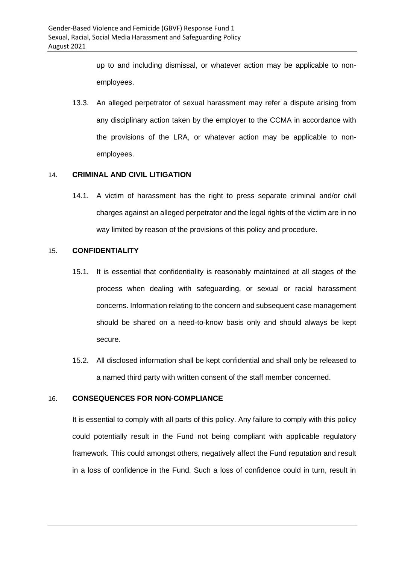up to and including dismissal, or whatever action may be applicable to nonemployees.

13.3. An alleged perpetrator of sexual harassment may refer a dispute arising from any disciplinary action taken by the employer to the CCMA in accordance with the provisions of the LRA, or whatever action may be applicable to nonemployees.

#### 14. **CRIMINAL AND CIVIL LITIGATION**

14.1. A victim of harassment has the right to press separate criminal and/or civil charges against an alleged perpetrator and the legal rights of the victim are in no way limited by reason of the provisions of this policy and procedure.

#### 15. **CONFIDENTIALITY**

- 15.1. It is essential that confidentiality is reasonably maintained at all stages of the process when dealing with safeguarding, or sexual or racial harassment concerns. Information relating to the concern and subsequent case management should be shared on a need-to-know basis only and should always be kept secure.
- 15.2. All disclosed information shall be kept confidential and shall only be released to a named third party with written consent of the staff member concerned.

#### 16. **CONSEQUENCES FOR NON-COMPLIANCE**

It is essential to comply with all parts of this policy. Any failure to comply with this policy could potentially result in the Fund not being compliant with applicable regulatory framework. This could amongst others, negatively affect the Fund reputation and result in a loss of confidence in the Fund. Such a loss of confidence could in turn, result in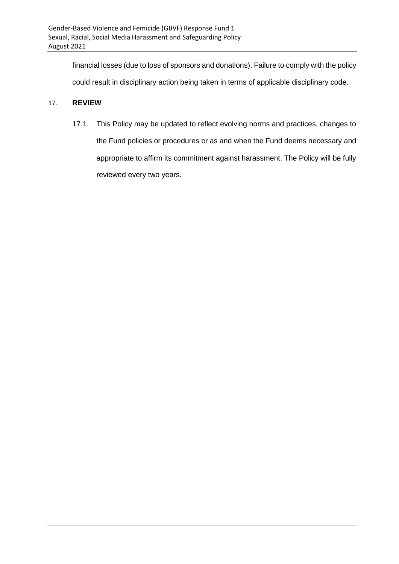financial losses (due to loss of sponsors and donations). Failure to comply with the policy

could result in disciplinary action being taken in terms of applicable disciplinary code.

#### 17. **REVIEW**

17.1. This Policy may be updated to reflect evolving norms and practices, changes to the Fund policies or procedures or as and when the Fund deems necessary and appropriate to affirm its commitment against harassment. The Policy will be fully reviewed every two years.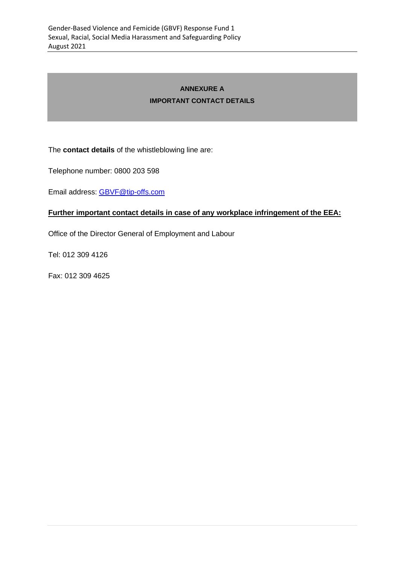### **ANNEXURE A IMPORTANT CONTACT DETAILS**

The **contact details** of the whistleblowing line are:

Telephone number: 0800 203 598

Email address: [GBVF@tip-offs.com](mailto:GBVF@tip-offs.com)

#### **Further important contact details in case of any workplace infringement of the EEA:**

Office of the Director General of Employment and Labour

Tel: 012 309 4126

Fax: 012 309 4625